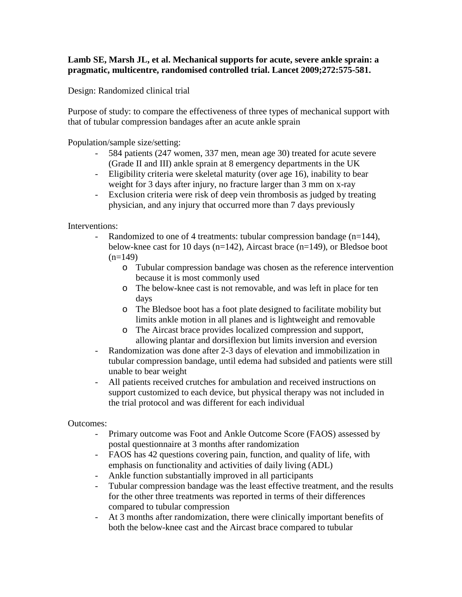## **Lamb SE, Marsh JL, et al. Mechanical supports for acute, severe ankle sprain: a pragmatic, multicentre, randomised controlled trial. Lancet 2009;272:575-581.**

Design: Randomized clinical trial

Purpose of study: to compare the effectiveness of three types of mechanical support with that of tubular compression bandages after an acute ankle sprain

Population/sample size/setting:

- 584 patients (247 women, 337 men, mean age 30) treated for acute severe (Grade II and III) ankle sprain at 8 emergency departments in the UK
- Eligibility criteria were skeletal maturity (over age 16), inability to bear weight for 3 days after injury, no fracture larger than 3 mm on x-ray
- Exclusion criteria were risk of deep vein thrombosis as judged by treating physician, and any injury that occurred more than 7 days previously

Interventions:

- Randomized to one of 4 treatments: tubular compression bandage (n=144), below-knee cast for 10 days (n=142), Aircast brace (n=149), or Bledsoe boot  $(n=149)$ 
	- o Tubular compression bandage was chosen as the reference intervention because it is most commonly used
	- o The below-knee cast is not removable, and was left in place for ten days
	- o The Bledsoe boot has a foot plate designed to facilitate mobility but limits ankle motion in all planes and is lightweight and removable
	- o The Aircast brace provides localized compression and support, allowing plantar and dorsiflexion but limits inversion and eversion
- Randomization was done after 2-3 days of elevation and immobilization in tubular compression bandage, until edema had subsided and patients were still unable to bear weight
- All patients received crutches for ambulation and received instructions on support customized to each device, but physical therapy was not included in the trial protocol and was different for each individual

## Outcomes:

- Primary outcome was Foot and Ankle Outcome Score (FAOS) assessed by postal questionnaire at 3 months after randomization
- FAOS has 42 questions covering pain, function, and quality of life, with emphasis on functionality and activities of daily living (ADL)
- Ankle function substantially improved in all participants
- Tubular compression bandage was the least effective treatment, and the results for the other three treatments was reported in terms of their differences compared to tubular compression
- At 3 months after randomization, there were clinically important benefits of both the below-knee cast and the Aircast brace compared to tubular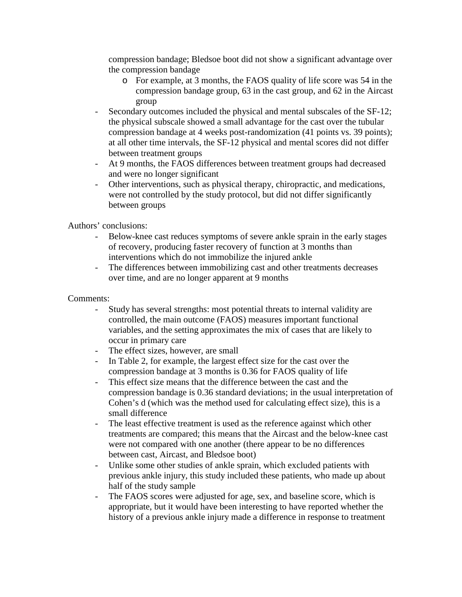compression bandage; Bledsoe boot did not show a significant advantage over the compression bandage

- o For example, at 3 months, the FAOS quality of life score was 54 in the compression bandage group, 63 in the cast group, and 62 in the Aircast group
- Secondary outcomes included the physical and mental subscales of the SF-12; the physical subscale showed a small advantage for the cast over the tubular compression bandage at 4 weeks post-randomization (41 points vs. 39 points); at all other time intervals, the SF-12 physical and mental scores did not differ between treatment groups
- At 9 months, the FAOS differences between treatment groups had decreased and were no longer significant
- Other interventions, such as physical therapy, chiropractic, and medications, were not controlled by the study protocol, but did not differ significantly between groups

Authors' conclusions:

- Below-knee cast reduces symptoms of severe ankle sprain in the early stages of recovery, producing faster recovery of function at 3 months than interventions which do not immobilize the injured ankle
- The differences between immobilizing cast and other treatments decreases over time, and are no longer apparent at 9 months

## Comments:

- Study has several strengths: most potential threats to internal validity are controlled, the main outcome (FAOS) measures important functional variables, and the setting approximates the mix of cases that are likely to occur in primary care
- The effect sizes, however, are small
- In Table 2, for example, the largest effect size for the cast over the compression bandage at 3 months is 0.36 for FAOS quality of life
- This effect size means that the difference between the cast and the compression bandage is 0.36 standard deviations; in the usual interpretation of Cohen's d (which was the method used for calculating effect size), this is a small difference
- The least effective treatment is used as the reference against which other treatments are compared; this means that the Aircast and the below-knee cast were not compared with one another (there appear to be no differences between cast, Aircast, and Bledsoe boot)
- Unlike some other studies of ankle sprain, which excluded patients with previous ankle injury, this study included these patients, who made up about half of the study sample
- The FAOS scores were adjusted for age, sex, and baseline score, which is appropriate, but it would have been interesting to have reported whether the history of a previous ankle injury made a difference in response to treatment